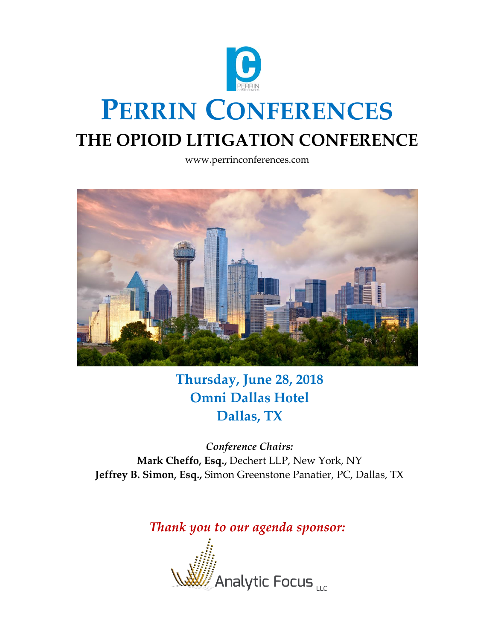

www.perrinconferences.com



**Thursday, June 28, 2018 Omni Dallas Hotel Dallas, TX**

*Conference Chairs:* **Mark Cheffo, Esq.,** Dechert LLP, New York, NY **Jeffrey B. Simon, Esq.,** Simon Greenstone Panatier, PC, Dallas, TX

*Thank you to our agenda sponsor:*

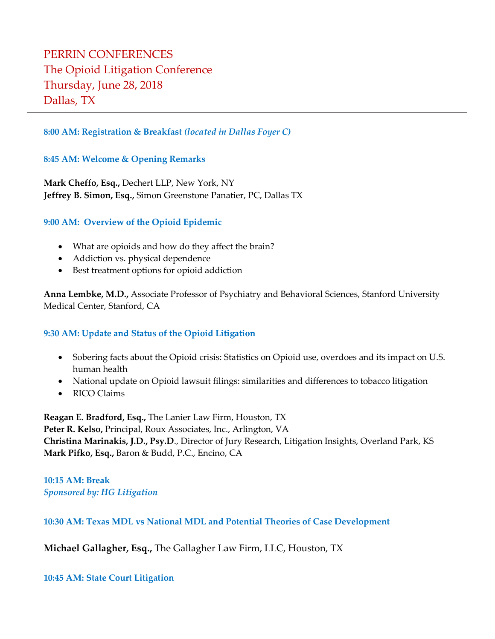## PERRIN CONFERENCES The Opioid Litigation Conference Thursday, June 28, 2018 Dallas, TX

#### **8:00 AM: Registration & Breakfast** *(located in Dallas Foyer C)*

#### **8:45 AM: Welcome & Opening Remarks**

**Mark Cheffo, Esq.,** Dechert LLP, New York, NY **Jeffrey B. Simon, Esq.,** Simon Greenstone Panatier, PC, Dallas TX

#### **9:00 AM: Overview of the Opioid Epidemic**

- What are opioids and how do they affect the brain?
- Addiction vs. physical dependence
- Best treatment options for opioid addiction

**Anna Lembke, M.D.,** Associate Professor of Psychiatry and Behavioral Sciences, Stanford University Medical Center, Stanford, CA

#### **9:30 AM: Update and Status of the Opioid Litigation**

- Sobering facts about the Opioid crisis: Statistics on Opioid use, overdoes and its impact on U.S. human health
- National update on Opioid lawsuit filings: similarities and differences to tobacco litigation
- RICO Claims

**Reagan E. Bradford, Esq.,** The Lanier Law Firm, Houston, TX **Peter R. Kelso,** Principal, Roux Associates, Inc., Arlington, VA **Christina Marinakis, J.D., Psy.D**., Director of Jury Research, Litigation Insights, Overland Park, KS **Mark Pifko, Esq.,** Baron & Budd, P.C., Encino, CA

**10:15 AM: Break**  *Sponsored by: HG Litigation*

**10:30 AM: Texas MDL vs National MDL and Potential Theories of Case Development**

**Michael Gallagher, Esq.,** The Gallagher Law Firm, LLC, Houston, TX

**10:45 AM: State Court Litigation**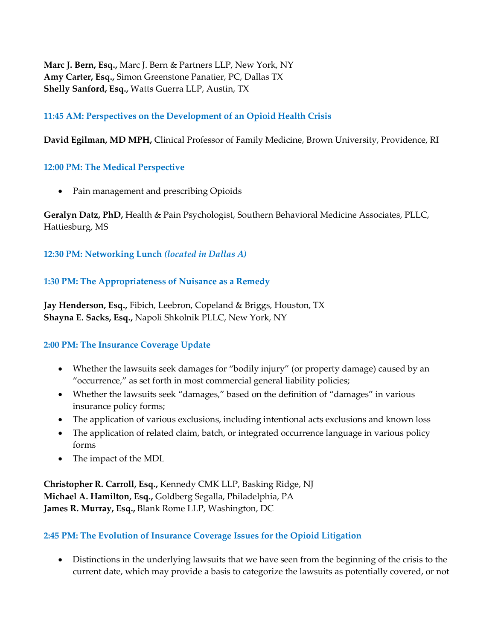**Marc J. Bern, Esq.,** Marc J. Bern & Partners LLP, New York, NY **Amy Carter, Esq.,** Simon Greenstone Panatier, PC, Dallas TX **Shelly Sanford, Esq.,** Watts Guerra LLP, Austin, TX

## **11:45 AM: Perspectives on the Development of an Opioid Health Crisis**

**David Egilman, MD MPH,** Clinical Professor of Family Medicine, Brown University, Providence, RI

#### **12:00 PM: The Medical Perspective**

• Pain management and prescribing Opioids

**Geralyn Datz, PhD,** Health & Pain Psychologist, Southern Behavioral Medicine Associates, PLLC, Hattiesburg, MS

#### **12:30 PM: Networking Lunch** *(located in Dallas A)*

## **1:30 PM: The Appropriateness of Nuisance as a Remedy**

**Jay Henderson, Esq.,** Fibich, Leebron, Copeland & Briggs, Houston, TX **Shayna E. Sacks, Esq.,** Napoli Shkolnik PLLC, New York, NY

## **2:00 PM: The Insurance Coverage Update**

- Whether the lawsuits seek damages for "bodily injury" (or property damage) caused by an "occurrence," as set forth in most commercial general liability policies;
- Whether the lawsuits seek "damages," based on the definition of "damages" in various insurance policy forms;
- The application of various exclusions, including intentional acts exclusions and known loss
- The application of related claim, batch, or integrated occurrence language in various policy forms
- The impact of the MDL

**Christopher R. Carroll, Esq.,** Kennedy CMK LLP, Basking Ridge, NJ **Michael A. Hamilton, Esq.,** Goldberg Segalla, Philadelphia, PA **James R. Murray, Esq.,** Blank Rome LLP, Washington, DC

## **2:45 PM: The Evolution of Insurance Coverage Issues for the Opioid Litigation**

• Distinctions in the underlying lawsuits that we have seen from the beginning of the crisis to the current date, which may provide a basis to categorize the lawsuits as potentially covered, or not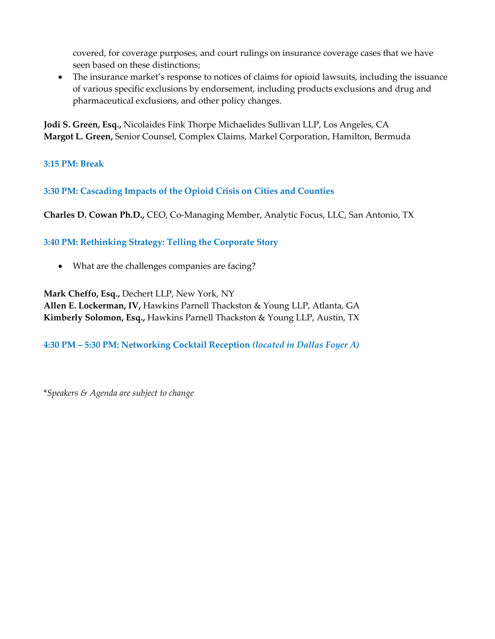covered, for coverage purposes, and court rulings on insurance coverage cases that we have seen based on these distinctions;

• The insurance market's response to notices of claims for opioid lawsuits, including the issuance of various specific exclusions by endorsement, including products exclusions and drug and pharmaceutical exclusions, and other policy changes.

**Jodi S. Green, Esq.,** Nicolaides Fink Thorpe Michaelides Sullivan LLP, Los Angeles, CA **Margot L. Green,** Senior Counsel, Complex Claims, Markel Corporation, Hamilton, Bermuda

**3:15 PM: Break** 

**3:30 PM: Cascading Impacts of the Opioid Crisis on Cities and Counties**

**Charles D. Cowan Ph.D.,** CEO, Co-Managing Member, Analytic Focus, LLC, San Antonio, TX

**3:40 PM: Rethinking Strategy: Telling the Corporate Story** 

• What are the challenges companies are facing?

**Mark Cheffo, Esq.,** Dechert LLP, New York, NY

**Allen E. Lockerman, IV,** Hawkins Parnell Thackston & Young LLP, Atlanta, GA **Kimberly Solomon, Esq.,** Hawkins Parnell Thackston & Young LLP, Austin, TX

**4:30 PM – 5:30 PM: Networking Cocktail Reception** *(located in Dallas Foyer A)*

\**Speakers & Agenda are subject to change*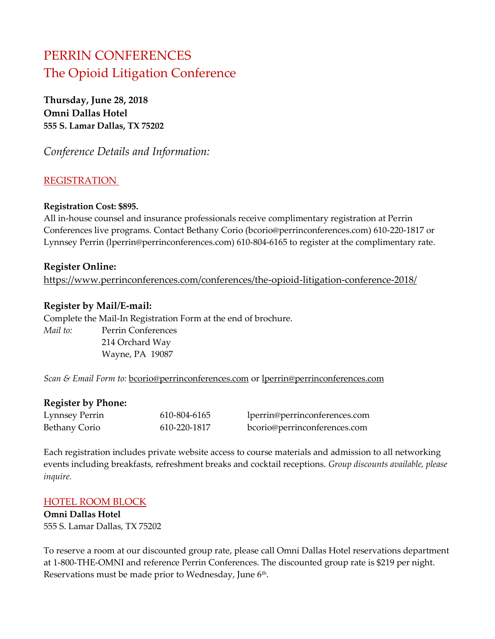# PERRIN CONFERENCES The Opioid Litigation Conference

**Thursday, June 28, 2018 Omni Dallas Hotel 555 S. Lamar Dallas, TX 75202**

*Conference Details and Information:*

## **REGISTRATION**

#### **Registration Cost: \$895.**

All in-house counsel and insurance professionals receive complimentary registration at Perrin Conferences live programs. Contact Bethany Corio (bcorio@perrinconferences.com) 610-220-1817 or Lynnsey Perrin (lperrin@perrinconferences.com) 610-804-6165 to register at the complimentary rate.

#### **Register Online:**

<https://www.perrinconferences.com/conferences/the-opioid-litigation-conference-2018/>

#### **Register by Mail/E-mail:**

Complete the Mail-In Registration Form at the end of brochure. *Mail to:* Perrin Conferences 214 Orchard Way Wayne, PA 19087

*Scan & Email Form to:* [bcorio@perrinconferences.com](mailto:bcorio@perrinconferences.com) or [lperrin@perrinconferences.com](mailto:lperrin@perrinconferences.com)

#### **Register by Phone:**

| Lynnsey Perrin | 610-804-6165 | lperrin@perrinconferences.com |
|----------------|--------------|-------------------------------|
| Bethany Corio  | 610-220-1817 | bcorio@perrinconferences.com  |

Each registration includes private website access to course materials and admission to all networking events including breakfasts, refreshment breaks and cocktail receptions. *Group discounts available, please inquire.*

#### HOTEL ROOM BLOCK

**Omni Dallas Hotel** 555 S. Lamar Dallas, TX 75202

To reserve a room at our discounted group rate, please call Omni Dallas Hotel reservations department at 1-800-THE-OMNI and reference Perrin Conferences. The discounted group rate is \$219 per night. Reservations must be made prior to Wednesday, June 6<sup>th</sup>.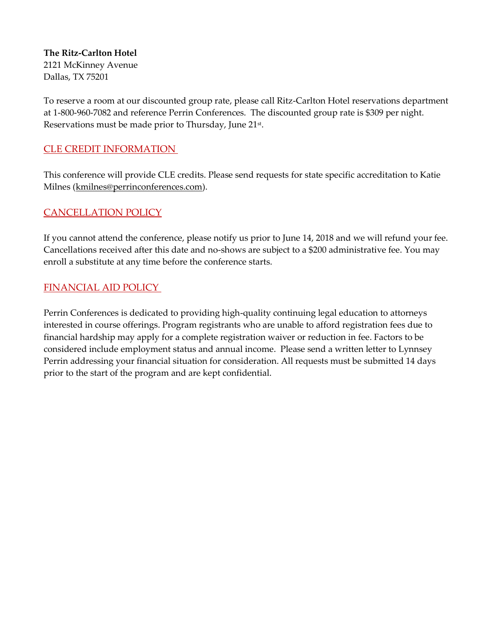#### **The Ritz-Carlton Hotel** 2121 McKinney Avenue Dallas, TX 75201

To reserve a room at our discounted group rate, please call Ritz-Carlton Hotel reservations department at 1-800-960-7082 and reference Perrin Conferences. The discounted group rate is \$309 per night. Reservations must be made prior to Thursday, June 21st.

## CLE CREDIT INFORMATION

This conference will provide CLE credits. Please send requests for state specific accreditation to Katie Milnes [\(kmilnes@perrinconferences.com\)](mailto:kmilnes@perrinconferences.com).

## CANCELLATION POLICY

If you cannot attend the conference, please notify us prior to June 14, 2018 and we will refund your fee. Cancellations received after this date and no-shows are subject to a \$200 administrative fee. You may enroll a substitute at any time before the conference starts.

## FINANCIAL AID POLICY

Perrin Conferences is dedicated to providing high-quality continuing legal education to attorneys interested in course offerings. Program registrants who are unable to afford registration fees due to financial hardship may apply for a complete registration waiver or reduction in fee. Factors to be considered include employment status and annual income. Please send a written letter to Lynnsey Perrin addressing your financial situation for consideration. All requests must be submitted 14 days prior to the start of the program and are kept confidential.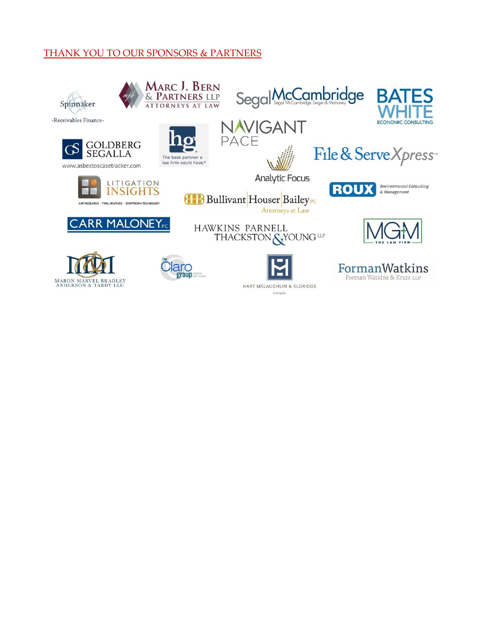## THANK YOU TO OUR SPONSORS & PARTNERS



HART MELAUGHLIN & ELDRIDGE CHICAGO